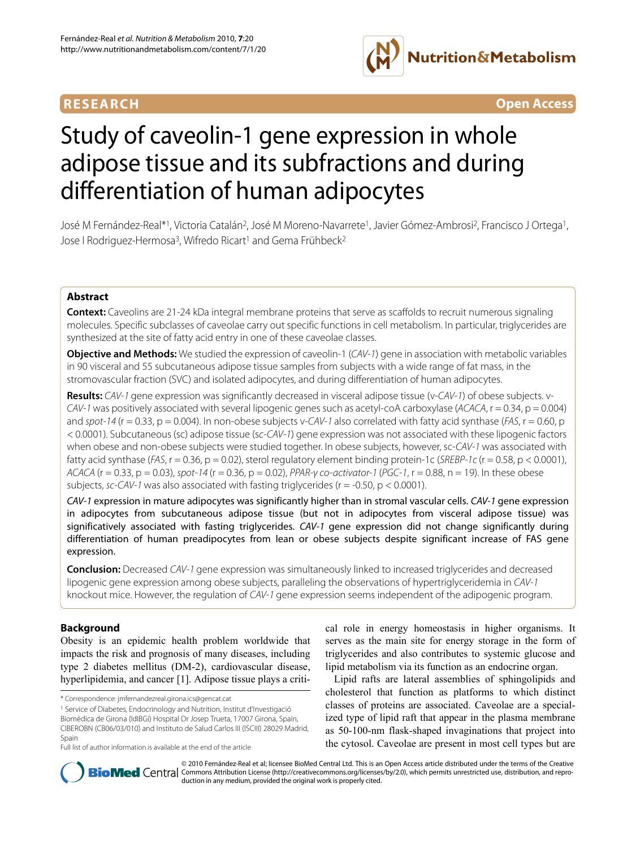

**RESEARCH Open Access**

# Study of caveolin-1 gene expression in whole adipose tissue and its subfractions and during differentiation of human adipocytes

José M Fernández-Real\*1, Victoria Catalán2, José M Moreno-Navarrete1, Javier Gómez-Ambrosi2, Francisco J Ortega1, Jose I Rodriguez-Hermosa<sup>3</sup>, Wifredo Ricart<sup>1</sup> and Gema Frühbeck<sup>2</sup>

# **Abstract**

**Context:** Caveolins are 21-24 kDa integral membrane proteins that serve as scaffolds to recruit numerous signaling molecules. Specific subclasses of caveolae carry out specific functions in cell metabolism. In particular, triglycerides are synthesized at the site of fatty acid entry in one of these caveolae classes.

**Objective and Methods:** We studied the expression of caveolin-1 (CAV-1) gene in association with metabolic variables in 90 visceral and 55 subcutaneous adipose tissue samples from subjects with a wide range of fat mass, in the stromovascular fraction (SVC) and isolated adipocytes, and during differentiation of human adipocytes.

**Results:** CAV-1 gene expression was significantly decreased in visceral adipose tissue (v-CAV-1) of obese subjects. v-CAV-1 was positively associated with several lipogenic genes such as acetyl-coA carboxylase (ACACA,  $r = 0.34$ ,  $p = 0.004$ ) and spot-14 ( $r = 0.33$ ,  $p = 0.004$ ). In non-obese subjects v-CAV-1 also correlated with fatty acid synthase (FAS,  $r = 0.60$ , p < 0.0001). Subcutaneous (sc) adipose tissue (sc-CAV-1) gene expression was not associated with these lipogenic factors when obese and non-obese subjects were studied together. In obese subjects, however, sc-CAV-1 was associated with fatty acid synthase ( $FAS$ ,  $r = 0.36$ ,  $p = 0.02$ ), sterol regulatory element binding protein-1c (SREBP-1c ( $r = 0.58$ ,  $p < 0.0001$ ), ACACA (r = 0.33, p = 0.03), spot-14 (r = 0.36, p = 0.02), PPAR-y co-activator-1 (PGC-1, r = 0.88, n = 19). In these obese subjects, sc-CAV-1 was also associated with fasting triglycerides ( $r = -0.50$ ,  $p < 0.0001$ ).

CAV-1 expression in mature adipocytes was significantly higher than in stromal vascular cells. CAV-1 gene expression in adipocytes from subcutaneous adipose tissue (but not in adipocytes from visceral adipose tissue) was significatively associated with fasting triglycerides. CAV-1 gene expression did not change significantly during differentiation of human preadipocytes from lean or obese subjects despite significant increase of FAS gene expression.

**Conclusion:** Decreased CAV-1 gene expression was simultaneously linked to increased triglycerides and decreased lipogenic gene expression among obese subjects, paralleling the observations of hypertriglyceridemia in CAV-1 knockout mice. However, the regulation of CAV-1 gene expression seems independent of the adipogenic program.

# **Background**

Obesity is an epidemic health problem worldwide that impacts the risk and prognosis of many diseases, including type 2 diabetes mellitus (DM-2), cardiovascular disease, hyperlipidemia, and cancer [[1\]](#page-7-0). Adipose tissue plays a criti-

\* Correspondence: jmfernandezreal.girona.ics@gencat.cat

1 Service of Diabetes, Endocrinology and Nutrition, Institut d'Investigació Biomèdica de Girona (IdIBGi) Hospital Dr Josep Trueta, 17007 Girona, Spain, CIBEROBN (CB06/03/010) and Instituto de Salud Carlos III (ISCIII) 28029 Madrid, Spain

Full list of author information is available at the end of the article

cal role in energy homeostasis in higher organisms. It serves as the main site for energy storage in the form of triglycerides and also contributes to systemic glucose and lipid metabolism via its function as an endocrine organ.

Lipid rafts are lateral assemblies of sphingolipids and cholesterol that function as platforms to which distinct classes of proteins are associated. Caveolae are a specialized type of lipid raft that appear in the plasma membrane as 50-100-nm flask-shaped invaginations that project into the cytosol. Caveolae are present in most cell types but are



© 2010 Fernández-Real et al; licensee BioMed Central Ltd. This is an Open Access article distributed under the terms of the Creative **Bio Med** Central Commons Attribution License (http://creativecommons.org/licenses/by/2.0), which permits unrestricted use, distribution, and reproduction in any medium, provided the original work is properly cited.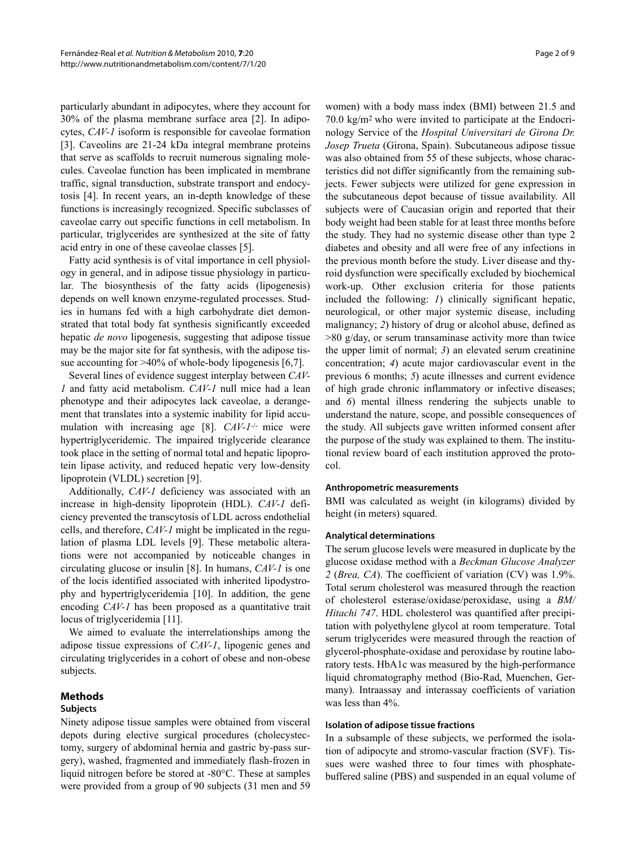particularly abundant in adipocytes, where they account for 30% of the plasma membrane surface area [[2\]](#page-7-1). In adipocytes, *CAV-1* isoform is responsible for caveolae formation [[3\]](#page-7-2). Caveolins are 21-24 kDa integral membrane proteins that serve as scaffolds to recruit numerous signaling molecules. Caveolae function has been implicated in membrane traffic, signal transduction, substrate transport and endocytosis [[4\]](#page-7-3). In recent years, an in-depth knowledge of these functions is increasingly recognized. Specific subclasses of caveolae carry out specific functions in cell metabolism. In particular, triglycerides are synthesized at the site of fatty acid entry in one of these caveolae classes [[5](#page-7-4)].

Fatty acid synthesis is of vital importance in cell physiology in general, and in adipose tissue physiology in particular. The biosynthesis of the fatty acids (lipogenesis) depends on well known enzyme-regulated processes. Studies in humans fed with a high carbohydrate diet demonstrated that total body fat synthesis significantly exceeded hepatic *de novo* lipogenesis, suggesting that adipose tissue may be the major site for fat synthesis, with the adipose tis-sue accounting for >40% of whole-body lipogenesis [\[6](#page-7-5)[,7](#page-7-6)].

Several lines of evidence suggest interplay between *CAV-1* and fatty acid metabolism. *CAV-1* null mice had a lean phenotype and their adipocytes lack caveolae, a derangement that translates into a systemic inability for lipid accu-mulation with increasing age [\[8](#page-7-7)]. *CAV-1<sup>-/-</sup>* mice were hypertriglyceridemic. The impaired triglyceride clearance took place in the setting of normal total and hepatic lipoprotein lipase activity, and reduced hepatic very low-density lipoprotein (VLDL) secretion [\[9](#page-7-8)].

Additionally, *CAV-1* deficiency was associated with an increase in high-density lipoprotein (HDL). *CAV-1* deficiency prevented the transcytosis of LDL across endothelial cells, and therefore, *CAV-1* might be implicated in the regulation of plasma LDL levels [[9](#page-7-8)]. These metabolic alterations were not accompanied by noticeable changes in circulating glucose or insulin [\[8](#page-7-7)]. In humans, *CAV-1* is one of the locis identified associated with inherited lipodystrophy and hypertriglyceridemia [\[10\]](#page-7-9). In addition, the gene encoding *CAV-1* has been proposed as a quantitative trait locus of triglyceridemia [[11](#page-8-0)].

We aimed to evaluate the interrelationships among the adipose tissue expressions of *CAV-1*, lipogenic genes and circulating triglycerides in a cohort of obese and non-obese subjects.

# **Methods**

## **Subjects**

Ninety adipose tissue samples were obtained from visceral depots during elective surgical procedures (cholecystectomy, surgery of abdominal hernia and gastric by-pass surgery), washed, fragmented and immediately flash-frozen in liquid nitrogen before be stored at -80°C. These at samples were provided from a group of 90 subjects (31 men and 59

women) with a body mass index (BMI) between 21.5 and 70.0 kg/m2 who were invited to participate at the Endocrinology Service of the *Hospital Universitari de Girona Dr. Josep Trueta* (Girona, Spain). Subcutaneous adipose tissue was also obtained from 55 of these subjects, whose characteristics did not differ significantly from the remaining subjects. Fewer subjects were utilized for gene expression in the subcutaneous depot because of tissue availability. All subjects were of Caucasian origin and reported that their body weight had been stable for at least three months before the study. They had no systemic disease other than type 2 diabetes and obesity and all were free of any infections in the previous month before the study. Liver disease and thyroid dysfunction were specifically excluded by biochemical work-up. Other exclusion criteria for those patients included the following: *1*) clinically significant hepatic, neurological, or other major systemic disease, including malignancy; *2*) history of drug or alcohol abuse, defined as  $>80$  g/day, or serum transaminase activity more than twice the upper limit of normal; *3*) an elevated serum creatinine concentration; *4*) acute major cardiovascular event in the previous 6 months; *5*) acute illnesses and current evidence of high grade chronic inflammatory or infective diseases; and *6*) mental illness rendering the subjects unable to understand the nature, scope, and possible consequences of the study. All subjects gave written informed consent after the purpose of the study was explained to them. The institutional review board of each institution approved the protocol.

#### **Anthropometric measurements**

BMI was calculated as weight (in kilograms) divided by height (in meters) squared.

#### **Analytical determinations**

The serum glucose levels were measured in duplicate by the glucose oxidase method with a *Beckman Glucose Analyzer 2* (*Brea, CA*). The coefficient of variation (CV) was 1.9%. Total serum cholesterol was measured through the reaction of cholesterol esterase/oxidase/peroxidase, using a *BM/ Hitachi 747*. HDL cholesterol was quantified after precipitation with polyethylene glycol at room temperature. Total serum triglycerides were measured through the reaction of glycerol-phosphate-oxidase and peroxidase by routine laboratory tests. HbA1c was measured by the high-performance liquid chromatography method (Bio-Rad, Muenchen, Germany). Intraassay and interassay coefficients of variation was less than 4%.

#### **Isolation of adipose tissue fractions**

In a subsample of these subjects, we performed the isolation of adipocyte and stromo-vascular fraction (SVF). Tissues were washed three to four times with phosphatebuffered saline (PBS) and suspended in an equal volume of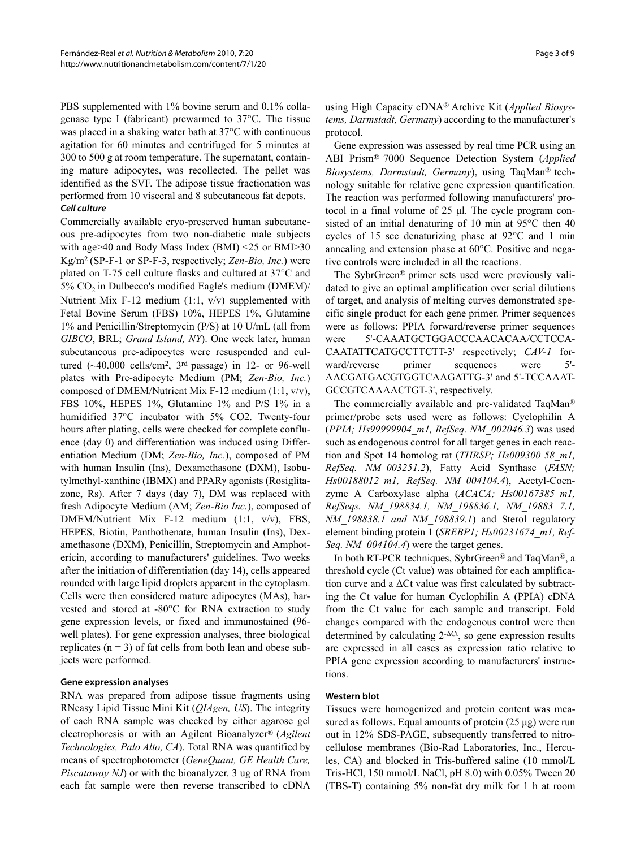PBS supplemented with 1% bovine serum and 0.1% collagenase type I (fabricant) prewarmed to 37°C. The tissue was placed in a shaking water bath at 37°C with continuous agitation for 60 minutes and centrifuged for 5 minutes at 300 to 500 g at room temperature. The supernatant, containing mature adipocytes, was recollected. The pellet was identified as the SVF. The adipose tissue fractionation was performed from 10 visceral and 8 subcutaneous fat depots. **Cell culture**

Commercially available cryo-preserved human subcutaneous pre-adipocytes from two non-diabetic male subjects with age>40 and Body Mass Index (BMI) <25 or BMI>30 Kg/m2 (SP-F-1 or SP-F-3, respectively; *Zen-Bio, Inc.*) were plated on T-75 cell culture flasks and cultured at 37°C and  $5\%$  CO<sub>2</sub> in Dulbecco's modified Eagle's medium (DMEM)/ Nutrient Mix F-12 medium (1:1, v/v) supplemented with Fetal Bovine Serum (FBS) 10%, HEPES 1%, Glutamine 1% and Penicillin/Streptomycin (P/S) at 10 U/mL (all from *GIBCO*, BRL; *Grand Island, NY*). One week later, human subcutaneous pre-adipocytes were resuspended and cultured  $(\sim40.000 \text{ cells/cm}^2, 3^{\text{rd}} \text{ passage})$  in 12- or 96-well plates with Pre-adipocyte Medium (PM; *Zen-Bio, Inc.*) composed of DMEM/Nutrient Mix F-12 medium (1:1, v/v), FBS 10%, HEPES 1%, Glutamine 1% and P/S 1% in a humidified 37°C incubator with 5% CO2. Twenty-four hours after plating, cells were checked for complete confluence (day 0) and differentiation was induced using Differentiation Medium (DM; *Zen-Bio, Inc.*), composed of PM with human Insulin (Ins), Dexamethasone (DXM), Isobutylmethyl-xanthine (IBMX) and PPARγ agonists (Rosiglitazone, Rs). After 7 days (day 7), DM was replaced with fresh Adipocyte Medium (AM; *Zen-Bio Inc.*), composed of DMEM/Nutrient Mix F-12 medium (1:1, v/v), FBS, HEPES, Biotin, Panthothenate, human Insulin (Ins), Dexamethasone (DXM), Penicillin, Streptomycin and Amphotericin, according to manufacturers' guidelines. Two weeks after the initiation of differentiation (day 14), cells appeared rounded with large lipid droplets apparent in the cytoplasm. Cells were then considered mature adipocytes (MAs), harvested and stored at -80°C for RNA extraction to study gene expression levels, or fixed and immunostained (96 well plates). For gene expression analyses, three biological replicates  $(n = 3)$  of fat cells from both lean and obese subjects were performed.

## **Gene expression analyses**

RNA was prepared from adipose tissue fragments using RNeasy Lipid Tissue Mini Kit (*QIAgen, US*). The integrity of each RNA sample was checked by either agarose gel electrophoresis or with an Agilent Bioanalyzer® (*Agilent Technologies, Palo Alto, CA*). Total RNA was quantified by means of spectrophotometer (*GeneQuant, GE Health Care, Piscataway NJ*) or with the bioanalyzer. 3 ug of RNA from each fat sample were then reverse transcribed to cDNA

using High Capacity cDNA® Archive Kit (*Applied Biosystems, Darmstadt, Germany*) according to the manufacturer's protocol.

Gene expression was assessed by real time PCR using an ABI Prism® 7000 Sequence Detection System (*Applied Biosystems, Darmstadt, Germany*), using TaqMan® technology suitable for relative gene expression quantification. The reaction was performed following manufacturers' protocol in a final volume of 25 μl. The cycle program consisted of an initial denaturing of 10 min at 95°C then 40 cycles of 15 sec denaturizing phase at 92°C and 1 min annealing and extension phase at 60°C. Positive and negative controls were included in all the reactions.

The SybrGreen® primer sets used were previously validated to give an optimal amplification over serial dilutions of target, and analysis of melting curves demonstrated specific single product for each gene primer. Primer sequences were as follows: PPIA forward/reverse primer sequences were 5'-CAAATGCTGGACCCAACACAA/CCTCCA-CAATATTCATGCCTTCTT-3' respectively; *CAV-1* forward/reverse primer sequences were 5'-AACGATGACGTGGTCAAGATTG-3' and 5'-TCCAAAT-GCCGTCAAAACTGT-3', respectively.

The commercially available and pre-validated TaqMan® primer/probe sets used were as follows: Cyclophilin A (*PPIA; Hs99999904\_m1, RefSeq. NM\_002046.3*) was used such as endogenous control for all target genes in each reaction and Spot 14 homolog rat (*THRSP; Hs009300 58\_m1, RefSeq. NM\_003251.2*), Fatty Acid Synthase (*FASN; Hs00188012\_m1, RefSeq. NM\_004104.4*), Acetyl-Coenzyme A Carboxylase alpha (*ACACA; Hs00167385\_m1, RefSeqs. NM\_198834.1, NM\_198836.1, NM\_19883 7.1, NM\_198838.1 and NM\_198839.1*) and Sterol regulatory element binding protein 1 (*SREBP1; Hs00231674\_m1, Ref-Seq. NM\_004104.4*) were the target genes.

In both RT-PCR techniques, SybrGreen® and TaqMan®, a threshold cycle (Ct value) was obtained for each amplification curve and a ΔCt value was first calculated by subtracting the Ct value for human Cyclophilin A (PPIA) cDNA from the Ct value for each sample and transcript. Fold changes compared with the endogenous control were then determined by calculating  $2-\Delta$ Ct, so gene expression results are expressed in all cases as expression ratio relative to PPIA gene expression according to manufacturers' instructions.

#### **Western blot**

Tissues were homogenized and protein content was measured as follows. Equal amounts of protein (25 μg) were run out in 12% SDS-PAGE, subsequently transferred to nitrocellulose membranes (Bio-Rad Laboratories, Inc., Hercules, CA) and blocked in Tris-buffered saline (10 mmol/L Tris-HCl, 150 mmol/L NaCl, pH 8.0) with 0.05% Tween 20 (TBS-T) containing 5% non-fat dry milk for 1 h at room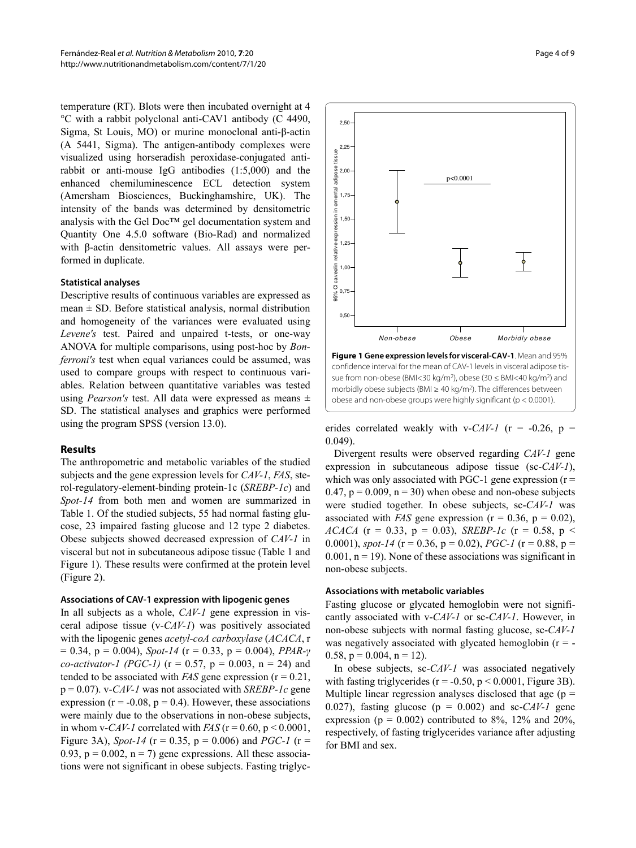temperature (RT). Blots were then incubated overnight at 4 °C with a rabbit polyclonal anti-CAV1 antibody (C 4490, Sigma, St Louis, MO) or murine monoclonal anti-β-actin (A 5441, Sigma). The antigen-antibody complexes were visualized using horseradish peroxidase-conjugated antirabbit or anti-mouse IgG antibodies (1:5,000) and the enhanced chemiluminescence ECL detection system (Amersham Biosciences, Buckinghamshire, UK). The intensity of the bands was determined by densitometric analysis with the Gel Doc™ gel documentation system and Quantity One 4.5.0 software (Bio-Rad) and normalized with β-actin densitometric values. All assays were performed in duplicate.

#### **Statistical analyses**

Descriptive results of continuous variables are expressed as mean  $\pm$  SD. Before statistical analysis, normal distribution and homogeneity of the variances were evaluated using *Levene's* test. Paired and unpaired t-tests, or one-way ANOVA for multiple comparisons, using post-hoc by *Bonferroni's* test when equal variances could be assumed, was used to compare groups with respect to continuous variables. Relation between quantitative variables was tested using *Pearson's* test. All data were expressed as means ± SD. The statistical analyses and graphics were performed using the program SPSS (version 13.0).

#### **Results**

The anthropometric and metabolic variables of the studied subjects and the gene expression levels for *CAV-1*, *FAS*, sterol-regulatory-element-binding protein-1c (*SREBP-1c*) and *Spot-14* from both men and women are summarized in Table 1. Of the studied subjects, 55 had normal fasting glucose, 23 impaired fasting glucose and 12 type 2 diabetes. Obese subjects showed decreased expression of *CAV-1* in visceral but not in subcutaneous adipose tissue (Table 1 and Figure [1\)](#page-3-0). These results were confirmed at the protein level (Figure [2\)](#page-4-0).

#### **Associations of CAV-1 expression with lipogenic genes**

In all subjects as a whole, *CAV-1* gene expression in visceral adipose tissue (v-*CAV-1*) was positively associated with the lipogenic genes *acetyl-coA carboxylase* (*ACACA*, r  $= 0.34$ ,  $p = 0.004$ ), *Spot-14* ( $r = 0.33$ ,  $p = 0.004$ ), *PPAR-γ co-activator-1 (PGC-1)* ( $r = 0.57$ ,  $p = 0.003$ ,  $n = 24$ ) and tended to be associated with *FAS* gene expression ( $r = 0.21$ , p = 0.07). v-*CAV-1* was not associated with *SREBP-1c* gene expression ( $r = -0.08$ ,  $p = 0.4$ ). However, these associations were mainly due to the observations in non-obese subjects, in whom v-*CAV-1* correlated with *FAS*  $(r = 0.60, p \le 0.0001,$ Figure [3](#page-6-0)A), *Spot-14* ( $r = 0.35$ ,  $p = 0.006$ ) and *PGC-1* ( $r =$ 0.93,  $p = 0.002$ ,  $n = 7$ ) gene expressions. All these associations were not significant in obese subjects. Fasting triglyc-

<span id="page-3-0"></span>

**Figure 1 Gene expression levels for visceral-CAV-1**. Mean and 95% confidence interval for the mean of CAV-1 levels in visceral adipose tissue from non-obese (BMI<30 kg/m<sup>2</sup>), obese (30 ≤ BMI<40 kg/m<sup>2</sup>) and morbidly obese subjects (BMI ≥ 40 kg/m2). The differences between obese and non-obese groups were highly significant (p < 0.0001).

erides correlated weakly with v- $CAV-I$  (r = -0.26, p = 0.049).

Divergent results were observed regarding *CAV-1* gene expression in subcutaneous adipose tissue (sc-*CAV-1*), which was only associated with PGC-1 gene expression  $(r =$ 0.47,  $p = 0.009$ ,  $n = 30$ ) when obese and non-obese subjects were studied together. In obese subjects, sc-*CAV-1* was associated with *FAS* gene expression ( $r = 0.36$ ,  $p = 0.02$ ), *ACACA* ( $r = 0.33$ ,  $p = 0.03$ ), *SREBP-1c* ( $r = 0.58$ ,  $p <$ 0.0001), *spot-14* ( $r = 0.36$ ,  $p = 0.02$ ), *PGC-1* ( $r = 0.88$ ,  $p =$  $0.001$ ,  $n = 19$ ). None of these associations was significant in non-obese subjects.

#### **Associations with metabolic variables**

Fasting glucose or glycated hemoglobin were not significantly associated with v-*CAV-1* or sc-*CAV-1*. However, in non-obese subjects with normal fasting glucose, sc-*CAV-1* was negatively associated with glycated hemoglobin  $(r = -1)$ 0.58,  $p = 0.004$ ,  $n = 12$ ).

In obese subjects, sc-*CAV-1* was associated negatively with fasting triglycerides ( $r = -0.50$ ,  $p < 0.0001$ , Figure [3](#page-6-0)B). Multiple linear regression analyses disclosed that age  $(p =$ 0.027), fasting glucose ( $p = 0.002$ ) and sc-*CAV-1* gene expression ( $p = 0.002$ ) contributed to 8%, 12% and 20%, respectively, of fasting triglycerides variance after adjusting for BMI and sex.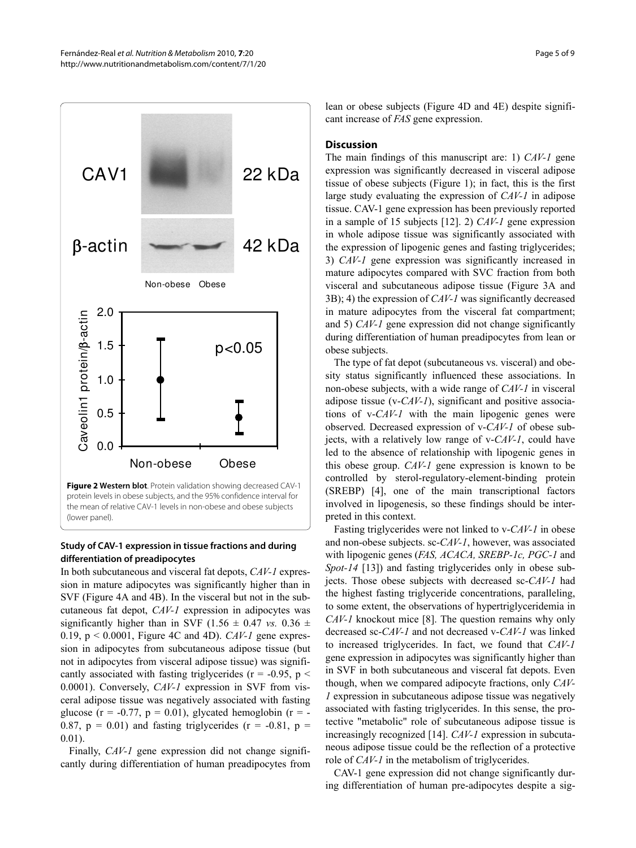<span id="page-4-0"></span>

## **Study of CAV-1 expression in tissue fractions and during differentiation of preadipocytes**

In both subcutaneous and visceral fat depots, *CAV-1* expression in mature adipocytes was significantly higher than in SVF (Figure [4A](#page-7-10) and [4](#page-7-10)B). In the visceral but not in the subcutaneous fat depot, *CAV-1* expression in adipocytes was significantly higher than in SVF (1.56  $\pm$  0.47 *vs.* 0.36  $\pm$ 0.19, p < 0.0001, Figure [4C](#page-7-10) and [4D](#page-7-10)). *CAV-1* gene expression in adipocytes from subcutaneous adipose tissue (but not in adipocytes from visceral adipose tissue) was significantly associated with fasting triglycerides ( $r = -0.95$ ,  $p <$ 0.0001). Conversely, *CAV-1* expression in SVF from visceral adipose tissue was negatively associated with fasting glucose (r = -0.77, p = 0.01), glycated hemoglobin (r = -0.87,  $p = 0.01$ ) and fasting triglycerides ( $r = -0.81$ ,  $p =$ 0.01).

Finally, *CAV-1* gene expression did not change significantly during differentiation of human preadipocytes from lean or obese subjects (Figure [4D](#page-7-10) and [4E](#page-7-10)) despite significant increase of *FAS* gene expression.

#### **Discussion**

The main findings of this manuscript are: 1) *CAV-1* gene expression was significantly decreased in visceral adipose tissue of obese subjects (Figure [1](#page-3-0)); in fact, this is the first large study evaluating the expression of *CAV-1* in adipose tissue. CAV-1 gene expression has been previously reported in a sample of 15 subjects [\[12](#page-8-1)]. 2) *CAV-1* gene expression in whole adipose tissue was significantly associated with the expression of lipogenic genes and fasting triglycerides; 3) *CAV-1* gene expression was significantly increased in mature adipocytes compared with SVC fraction from both visceral and subcutaneous adipose tissue (Figure [3](#page-6-0)A and [3B](#page-6-0)); 4) the expression of *CAV-1* was significantly decreased in mature adipocytes from the visceral fat compartment; and 5) *CAV-1* gene expression did not change significantly during differentiation of human preadipocytes from lean or obese subjects.

The type of fat depot (subcutaneous vs. visceral) and obesity status significantly influenced these associations. In non-obese subjects, with a wide range of *CAV-1* in visceral adipose tissue (v-*CAV-1*), significant and positive associations of v-*CAV-1* with the main lipogenic genes were observed. Decreased expression of v-*CAV-1* of obese subjects, with a relatively low range of v-*CAV-1*, could have led to the absence of relationship with lipogenic genes in this obese group. *CAV-1* gene expression is known to be controlled by sterol-regulatory-element-binding protein (SREBP) [\[4\]](#page-7-3), one of the main transcriptional factors involved in lipogenesis, so these findings should be interpreted in this context.

Fasting triglycerides were not linked to v-*CAV-1* in obese and non-obese subjects. sc-*CAV-1*, however, was associated with lipogenic genes (*FAS, ACACA, SREBP-1c, PGC-1* and *Spot-14* [\[13\]](#page-8-2)) and fasting triglycerides only in obese subjects. Those obese subjects with decreased sc-*CAV-1* had the highest fasting triglyceride concentrations, paralleling, to some extent, the observations of hypertriglyceridemia in *CAV-1* knockout mice [[8](#page-7-7)]. The question remains why only decreased sc-*CAV-1* and not decreased v-*CAV-1* was linked to increased triglycerides. In fact, we found that *CAV-1* gene expression in adipocytes was significantly higher than in SVF in both subcutaneous and visceral fat depots. Even though, when we compared adipocyte fractions, only *CAV-1* expression in subcutaneous adipose tissue was negatively associated with fasting triglycerides. In this sense, the protective "metabolic" role of subcutaneous adipose tissue is increasingly recognized [\[14\]](#page-8-3). *CAV-1* expression in subcutaneous adipose tissue could be the reflection of a protective role of *CAV-1* in the metabolism of triglycerides.

CAV-1 gene expression did not change significantly during differentiation of human pre-adipocytes despite a sig-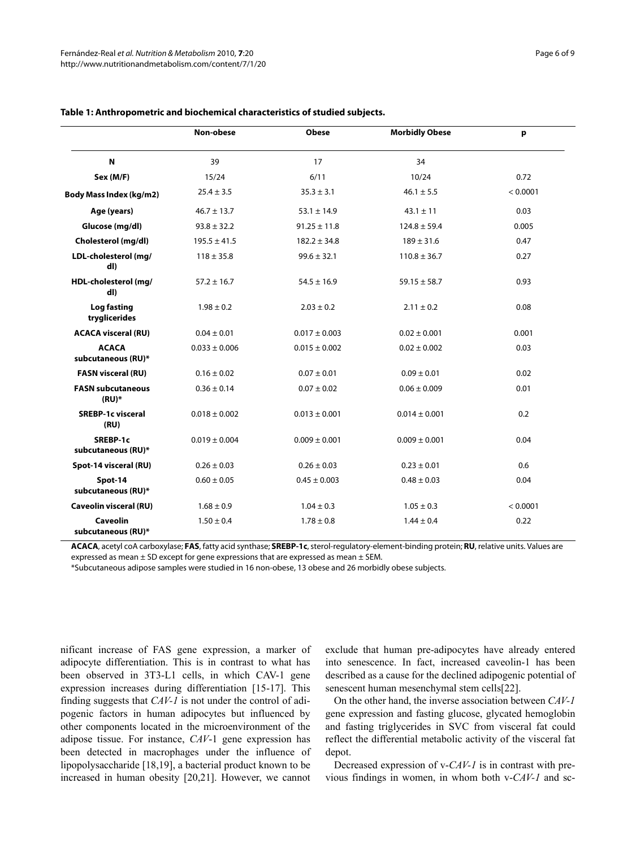|                                       | Non-obese         | <b>Obese</b>      | <b>Morbidly Obese</b> | p        |
|---------------------------------------|-------------------|-------------------|-----------------------|----------|
| N                                     | 39                | 17                | 34                    |          |
| Sex (M/F)                             | 15/24             | 6/11              | 10/24                 | 0.72     |
| Body Mass Index (kg/m2)               | $25.4 \pm 3.5$    | $35.3 \pm 3.1$    | $46.1 \pm 5.5$        | < 0.0001 |
| Age (years)                           | $46.7 \pm 13.7$   | $53.1 \pm 14.9$   | $43.1 \pm 11$         | 0.03     |
| Glucose (mg/dl)                       | $93.8 \pm 32.2$   | $91.25 \pm 11.8$  | $124.8 \pm 59.4$      | 0.005    |
| Cholesterol (mg/dl)                   | $195.5 \pm 41.5$  | $182.2 \pm 34.8$  | $189 \pm 31.6$        | 0.47     |
| LDL-cholesterol (mg/<br>dl)           | $118 \pm 35.8$    | $99.6 \pm 32.1$   | $110.8 \pm 36.7$      | 0.27     |
| HDL-cholesterol (mg/<br>dl)           | $57.2 \pm 16.7$   | $54.5 \pm 16.9$   | $59.15 \pm 58.7$      | 0.93     |
| Log fasting<br>tryglicerides          | $1.98 \pm 0.2$    | $2.03 \pm 0.2$    | $2.11 \pm 0.2$        | 0.08     |
| <b>ACACA visceral (RU)</b>            | $0.04 \pm 0.01$   | $0.017 \pm 0.003$ | $0.02 \pm 0.001$      | 0.001    |
| <b>ACACA</b><br>subcutaneous (RU)*    | $0.033 \pm 0.006$ | $0.015 \pm 0.002$ | $0.02 \pm 0.002$      | 0.03     |
| <b>FASN visceral (RU)</b>             | $0.16 \pm 0.02$   | $0.07 \pm 0.01$   | $0.09 \pm 0.01$       | 0.02     |
| <b>FASN subcutaneous</b><br>$(RU)^*$  | $0.36 \pm 0.14$   | $0.07 \pm 0.02$   | $0.06 \pm 0.009$      | 0.01     |
| <b>SREBP-1c visceral</b><br>(RU)      | $0.018 \pm 0.002$ | $0.013 \pm 0.001$ | $0.014 \pm 0.001$     | 0.2      |
| SREBP-1c<br>subcutaneous (RU)*        | $0.019 \pm 0.004$ | $0.009 \pm 0.001$ | $0.009 \pm 0.001$     | 0.04     |
| Spot-14 visceral (RU)                 | $0.26 \pm 0.03$   | $0.26 \pm 0.03$   | $0.23 \pm 0.01$       | 0.6      |
| Spot-14<br>subcutaneous (RU)*         | $0.60 \pm 0.05$   | $0.45 \pm 0.003$  | $0.48 \pm 0.03$       | 0.04     |
| <b>Caveolin visceral (RU)</b>         | $1.68 \pm 0.9$    | $1.04 \pm 0.3$    | $1.05 \pm 0.3$        | < 0.0001 |
| <b>Caveolin</b><br>subcutaneous (RU)* | $1.50 \pm 0.4$    | $1.78 \pm 0.8$    | $1.44 \pm 0.4$        | 0.22     |

#### **Table 1: Anthropometric and biochemical characteristics of studied subjects.**

**ACACA**, acetyl coA carboxylase; **FAS**, fatty acid synthase; **SREBP-1c**, sterol-regulatory-element-binding protein; **RU**, relative units. Values are expressed as mean  $\pm$  SD except for gene expressions that are expressed as mean  $\pm$  SEM.

\*Subcutaneous adipose samples were studied in 16 non-obese, 13 obese and 26 morbidly obese subjects.

nificant increase of FAS gene expression, a marker of adipocyte differentiation. This is in contrast to what has been observed in 3T3-L1 cells, in which CAV-1 gene expression increases during differentiation [\[15](#page-8-4)-[17](#page-8-5)]. This finding suggests that *CAV-1* is not under the control of adipogenic factors in human adipocytes but influenced by other components located in the microenvironment of the adipose tissue. For instance, *CAV*-1 gene expression has been detected in macrophages under the influence of lipopolysaccharide [\[18](#page-8-6),[19](#page-8-7)], a bacterial product known to be increased in human obesity [\[20](#page-8-8),[21](#page-8-9)]. However, we cannot

exclude that human pre-adipocytes have already entered into senescence. In fact, increased caveolin-1 has been described as a cause for the declined adipogenic potential of senescent human mesenchymal stem cells[\[22](#page-8-10)].

On the other hand, the inverse association between *CAV-1* gene expression and fasting glucose, glycated hemoglobin and fasting triglycerides in SVC from visceral fat could reflect the differential metabolic activity of the visceral fat depot.

Decreased expression of v-*CAV-1* is in contrast with previous findings in women, in whom both v-*CAV-1* and sc-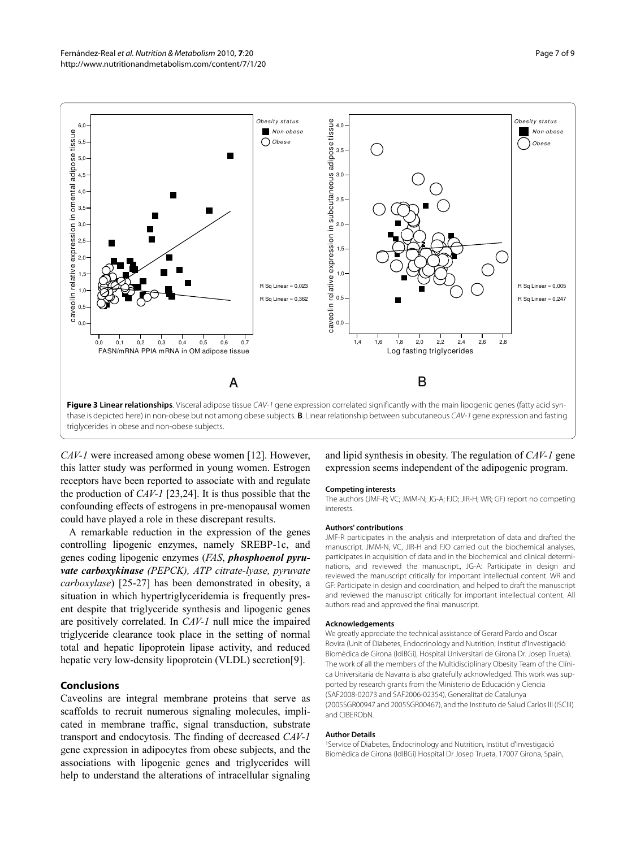<span id="page-6-0"></span>

thase is depicted here) in non-obese but not among obese subjects. **B**. Linear relationship between subcutaneous CAV-1 gene expression and fasting triglycerides in obese and non-obese subjects.

*CAV-1* were increased among obese women [[12](#page-8-1)]. However, this latter study was performed in young women. Estrogen receptors have been reported to associate with and regulate the production of *CAV-1* [[23,](#page-8-11)[24](#page-8-12)]. It is thus possible that the confounding effects of estrogens in pre-menopausal women could have played a role in these discrepant results.

A remarkable reduction in the expression of the genes controlling lipogenic enzymes, namely SREBP-1c, and genes coding lipogenic enzymes (*FAS*, *phosphoenol pyruvate carboxykinase (PEPCK), ATP citrate-lyase, pyruvate carboxylase*) [\[25](#page-8-13)-[27](#page-8-14)] has been demonstrated in obesity, a situation in which hypertriglyceridemia is frequently present despite that triglyceride synthesis and lipogenic genes are positively correlated. In *CAV-1* null mice the impaired triglyceride clearance took place in the setting of normal total and hepatic lipoprotein lipase activity, and reduced hepatic very low-density lipoprotein (VLDL) secretion[\[9](#page-7-8)].

# **Conclusions**

Caveolins are integral membrane proteins that serve as scaffolds to recruit numerous signaling molecules, implicated in membrane traffic, signal transduction, substrate transport and endocytosis. The finding of decreased *CAV-1* gene expression in adipocytes from obese subjects, and the associations with lipogenic genes and triglycerides will help to understand the alterations of intracellular signaling and lipid synthesis in obesity. The regulation of *CAV-1* gene expression seems independent of the adipogenic program.

#### **Competing interests**

The authors (JMF-R; VC; JMM-N; JG-A; FJO; JIR-H; WR; GF) report no competing interests.

#### **Authors' contributions**

JMF-R participates in the analysis and interpretation of data and drafted the manuscript. JMM-N, VC, JIR-H and FJO carried out the biochemical analyses, participates in acquisition of data and in the biochemical and clinical determinations, and reviewed the manuscript., JG-A: Participate in design and reviewed the manuscript critically for important intellectual content. WR and GF: Participate in design and coordination, and helped to draft the manuscript and reviewed the manuscript critically for important intellectual content. All authors read and approved the final manuscript.

#### **Acknowledgements**

We greatly appreciate the technical assistance of Gerard Pardo and Oscar Rovira (Unit of Diabetes, Endocrinology and Nutrition; Institut d'Investigació Biomèdica de Girona (IdIBGi), Hospital Universitari de Girona Dr. Josep Trueta). The work of all the members of the Multidisciplinary Obesity Team of the Clínica Universitaria de Navarra is also gratefully acknowledged. This work was supported by research grants from the Ministerio de Educación y Ciencia (SAF2008-02073 and SAF2006-02354), Generalitat de Catalunya (2005SGR00947 and 2005SGR00467), and the Instituto de Salud Carlos III (ISCIII) and CIBERObN.

#### **Author Details**

1Service of Diabetes, Endocrinology and Nutrition, Institut d'Investigació Biomèdica de Girona (IdIBGi) Hospital Dr Josep Trueta, 17007 Girona, Spain,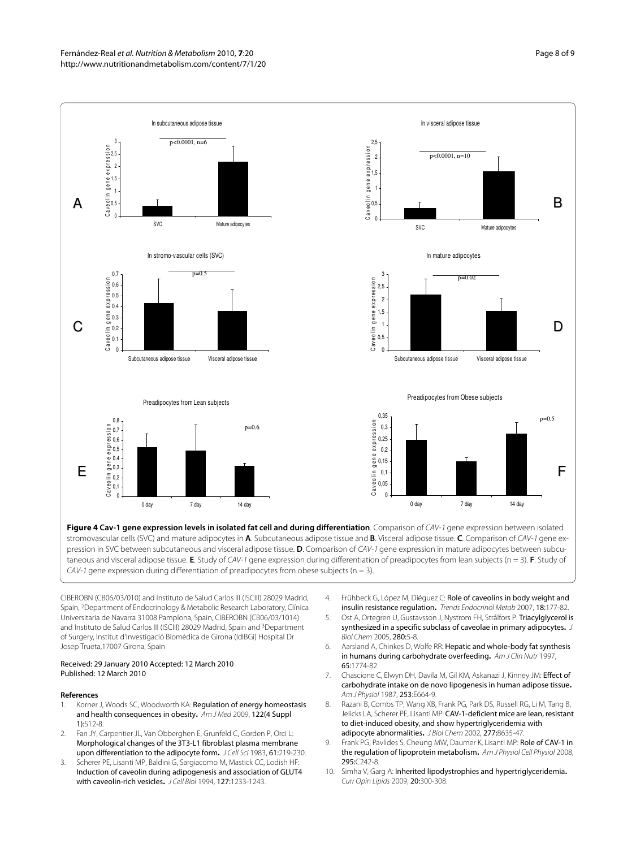<span id="page-7-10"></span>

pression in SVC between subcutaneous and visceral adipose tissue. **D**. Comparison of CAV-1 gene expression in mature adipocytes between subcutaneous and visceral adipose tissue. **E**. Study of CAV-1 gene expression during differentiation of preadipocytes from lean subjects (n = 3). **F**. Study of CAV-1 gene expression during differentiation of preadipocytes from obese subjects ( $n = 3$ ).

CIBEROBN (CB06/03/010) and Instituto de Salud Carlos III (ISCIII) 28029 Madrid, Spain, 2Department of Endocrinology & Metabolic Research Laboratory, Clínica Universitaria de Navarra 31008 Pamplona, Spain, CIBEROBN (CB06/03/1014) and Instituto de Salud Carlos III (ISCIII) 28029 Madrid, Spain and <sup>3</sup>Department of Surgery, Institut d'Investigació Biomèdica de Girona (IdIBGi) Hospital Dr Josep Trueta,17007 Girona, Spain

#### Received: 29 January 2010 Accepted: 12 March 2010 Published: 12 March 2010

#### **References**

- <span id="page-7-0"></span>1. Korner J, Woods SC, Woodworth KA: Regulation of energy homeostasis and health consequences in obesity**[.](http://www.ncbi.nlm.nih.gov/entrez/query.fcgi?cmd=Retrieve&db=PubMed&dopt=Abstract&list_uids=19410672)** Am J Med 2009, 122(4 Suppl 1):S12-8.
- <span id="page-7-1"></span>2. Fan JY, Carpentier JL, Van Obberghen E, Grunfeld C, Gorden P, Orci L: Morphological changes of the 3T3-L1 fibroblast plasma membrane upon differentiation to the adipocyte form**.** J Cell Sci 1983, 61:219-230.
- <span id="page-7-2"></span>3. Scherer PE, Lisanti MP, Baldini G, Sargiacomo M, Mastick CC, Lodish HF: Induction of caveolin during adipogenesis and association of GLUT4 with caveolin-rich vesicles**.** J Cell Biol 1994, 127:1233-1243.
- <span id="page-7-3"></span>4. Frühbeck G, López M, Diéguez C: Role of caveolins in body weight and insulin resistance regulation**.** Trends Endocrinol Metab 2007, 18:177-82.
- <span id="page-7-4"></span>5. Ost A, Ortegren U, Gustavsson J, Nystrom FH, Strålfors P: Triacylglycerol is synthesized in a specific subclass of caveolae in primary adipocytes**.** J Biol Chem 2005, 280:5-8.
- <span id="page-7-5"></span>6. Aarsland A, Chinkes D, Wolfe RR: Hepatic and whole-body fat synthesis in humans during carbohydrate overfeeding**.** Am J Clin Nutr 1997, 65:1774-82.
- <span id="page-7-6"></span>7. Chascione C, Elwyn DH, Davila M, Gil KM, Askanazi J, Kinney JM: Effect of carbohydrate intake on de novo lipogenesis in human adipose tissue**[.](http://www.ncbi.nlm.nih.gov/entrez/query.fcgi?cmd=Retrieve&db=PubMed&dopt=Abstract&list_uids=3122584)** Am J Physiol 1987, 253:E664-9.
- <span id="page-7-7"></span>8. Razani B, Combs TP, Wang XB, Frank PG, Park DS, Russell RG, Li M, Tang B, Jelicks LA, Scherer PE, Lisanti MP: CAV-1-deficient mice are lean, resistant to diet-induced obesity, and show hypertriglyceridemia with adipocyte abnormalities**[.](http://www.ncbi.nlm.nih.gov/entrez/query.fcgi?cmd=Retrieve&db=PubMed&dopt=Abstract&list_uids=11739396)** J Biol Chem 2002, 277:8635-47.
- <span id="page-7-8"></span>9. Frank PG, Pavlides S, Cheung MW, Daumer K, Lisanti MP: Role of CAV-1 in the regulation of lipoprotein metabolism**.** Am J Physiol Cell Physiol 2008, 295:C242-8.
- <span id="page-7-9"></span>10. Simha V, Garg A: Inherited lipodystrophies and hypertriglyceridemia**.** Curr Opin Lipids 2009, 20:300-308.